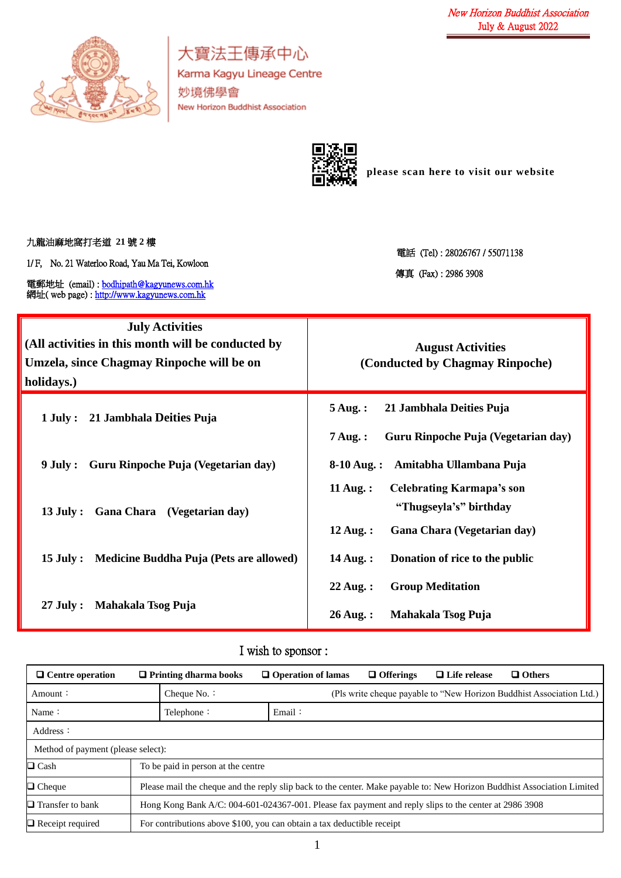

大寶法王傳承中心 Karma Kagyu Lineage Centre 妙境佛學會 New Horizon Buddhist Association



**please scan here to visit our website**

九龍油麻地窩打老道 **21** 號 **2** 樓

1/ F, No. 21 Waterloo Road, Yau Ma Tei, Kowloon

電郵地址 (email) [: bodhipath@kagyunews.com.hk](mailto:bodhipath@kagyunews.com.hk) 網址( web page) : [http://www.kagyunews.com.hk](http://www.kagyunews.com.hk/)

電話 (Tel) : 28026767 / 55071138 傳真 (Fax) : 2986 3908

| <b>July Activities</b><br>(All activities in this month will be conducted by<br>Umzela, since Chagmay Rinpoche will be on<br>holidays.) | <b>August Activities</b><br>(Conducted by Chagmay Rinpoche)                                                                    |
|-----------------------------------------------------------------------------------------------------------------------------------------|--------------------------------------------------------------------------------------------------------------------------------|
| 1 July: 21 Jambhala Deities Puja                                                                                                        | 21 Jambhala Deities Puja<br>$5$ Aug.:<br>Guru Rinpoche Puja (Vegetarian day)<br>$7 \text{ Aug.}$ :                             |
| Guru Rinpoche Puja (Vegetarian day)<br>9 July :                                                                                         | 8-10 Aug.: Amitabha Ullambana Puja                                                                                             |
| Gana Chara (Vegetarian day)<br>$13$ July :                                                                                              | $11$ Aug.:<br><b>Celebrating Karmapa's son</b><br>"Thugseyla's" birthday<br>$12 \text{ Aug.}$ :<br>Gana Chara (Vegetarian day) |
| Medicine Buddha Puja (Pets are allowed)<br>$15$ July :                                                                                  | Donation of rice to the public<br>$14$ Aug.:                                                                                   |
| $27$ July :<br>Mahakala Tsog Puja                                                                                                       | $22$ Aug.:<br><b>Group Meditation</b><br>$26$ Aug.:<br>Mahakala Tsog Puja                                                      |

## I wish to sponsor :

| $\Box$ Centre operation            | $\Box$ Printing dharma books                                                                                            | $\Box$ Others<br>$\Box$ Offerings<br>$\Box$ Life release<br>$\Box$ Operation of lamas |  |  |
|------------------------------------|-------------------------------------------------------------------------------------------------------------------------|---------------------------------------------------------------------------------------|--|--|
| Amount:                            | Cheque $No.$ :                                                                                                          | (Pls write cheque payable to "New Horizon Buddhist Association Ltd.)                  |  |  |
| Name:                              | Telephone:                                                                                                              | Email:                                                                                |  |  |
| Address:                           |                                                                                                                         |                                                                                       |  |  |
| Method of payment (please select): |                                                                                                                         |                                                                                       |  |  |
| $\Box$ Cash                        | To be paid in person at the centre                                                                                      |                                                                                       |  |  |
| $\Box$ Cheque                      | Please mail the cheque and the reply slip back to the center. Make payable to: New Horizon Buddhist Association Limited |                                                                                       |  |  |
| $\Box$ Transfer to bank            | Hong Kong Bank A/C: 004-601-024367-001. Please fax payment and reply slips to the center at 2986 3908                   |                                                                                       |  |  |
| $\Box$ Receipt required            |                                                                                                                         | For contributions above \$100, you can obtain a tax deductible receipt                |  |  |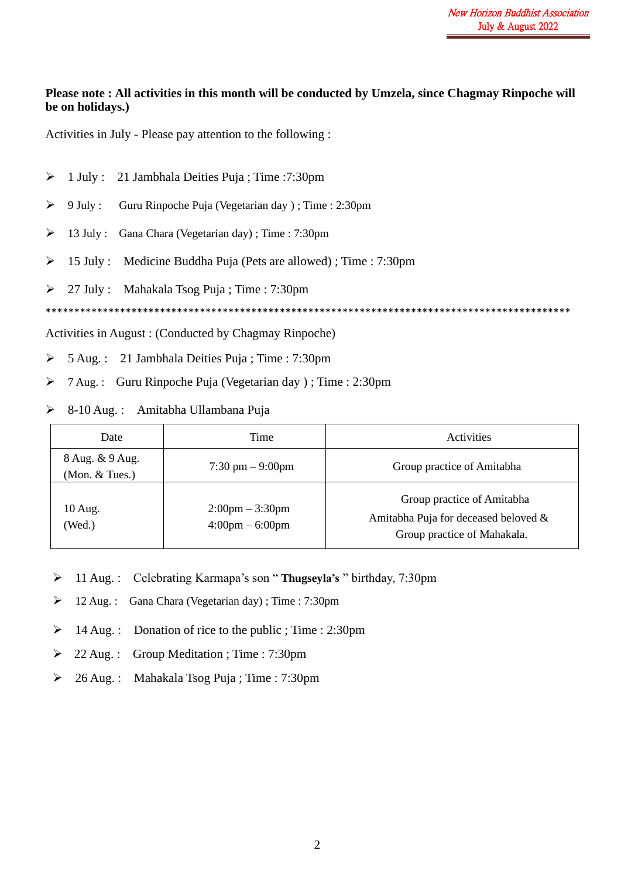## **Please note : All activities in this month will be conducted by Umzela, since Chagmay Rinpoche will be on holidays.)**

Activities in July - Please pay attention to the following :

- ➢ 1 July : 21 Jambhala Deities Puja ; Time :7:30pm ➢ 9 July : Guru Rinpoche Puja (Vegetarian day ) ; Time : 2:30pm  $\geq 13$  July : Gana Chara (Vegetarian day) ; Time : 7:30pm ➢ 15 July : Medicine Buddha Puja (Pets are allowed) ; Time : 7:30pm ➢ 27 July : Mahakala Tsog Puja ; Time : 7:30pm \*\*\*\*\*\*\*\*\*\*\*\*\*\*\*\*\*\*\*\*\*\*\*\*\*\*\*\*\*\*\*\*\*\*\*\*\*\*\*\*\*\*\*\*\*\*\*\*\*\*\*\*\*\*\*\*\*\*\*\*\*\*\*\*\*\*\*\*\*\*\*\*\*\*\*\*\*\*\*\*\*\*\*\*\*\*\*\*\*\*\*\* Activities in August : (Conducted by Chagmay Rinpoche)
- ➢ 5 Aug. : 21 Jambhala Deities Puja ; Time : 7:30pm
- ➢ 7 Aug. : Guru Rinpoche Puja (Vegetarian day ) ; Time : 2:30pm
- ➢ 8-10 Aug. : Amitabha Ullambana Puja

| Date                              | Time                                                                   | <b>Activities</b>                                                                                 |
|-----------------------------------|------------------------------------------------------------------------|---------------------------------------------------------------------------------------------------|
| 8 Aug. & 9 Aug.<br>(Mon. & Tues.) | $7:30 \text{ pm} - 9:00 \text{pm}$                                     | Group practice of Amitabha                                                                        |
| 10 Aug.<br>(Wed.)                 | $2:00 \text{pm} - 3:30 \text{pm}$<br>$4:00 \text{pm} - 6:00 \text{pm}$ | Group practice of Amitabha<br>Amitabha Puja for deceased beloved &<br>Group practice of Mahakala. |

- ➢ 11 Aug. : Celebrating Karmapa's son " **Thugseyla's** " birthday, 7:30pm
- ➢ 12 Aug. : Gana Chara (Vegetarian day) ; Time : 7:30pm
- ➢ 14 Aug. : Donation of rice to the public ; Time : 2:30pm
- ➢ 22 Aug. : Group Meditation ; Time : 7:30pm
- ➢ 26 Aug. : Mahakala Tsog Puja ; Time : 7:30pm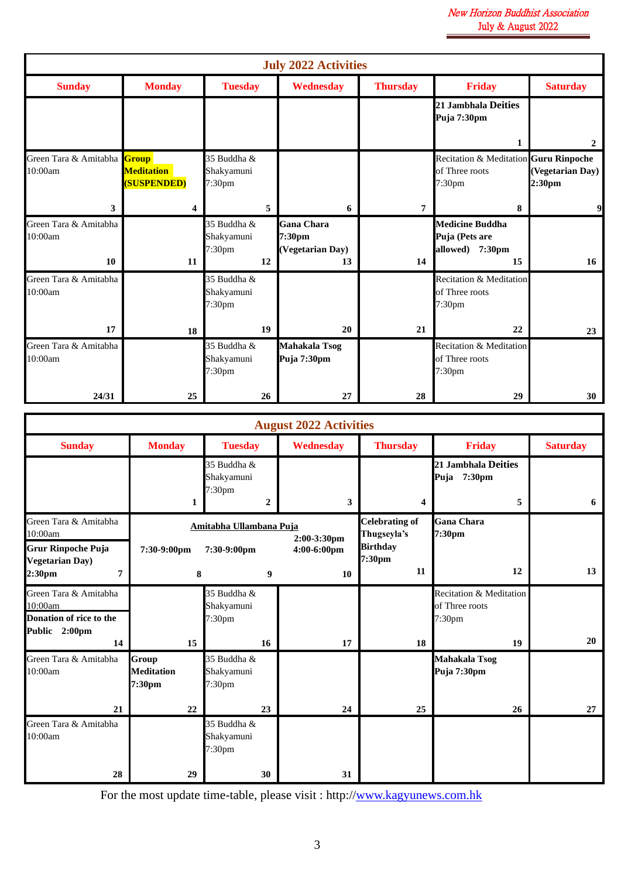|                                        | <b>July 2022 Activities</b>             |                                           |                                                       |                 |                                                                               |                            |
|----------------------------------------|-----------------------------------------|-------------------------------------------|-------------------------------------------------------|-----------------|-------------------------------------------------------------------------------|----------------------------|
| <b>Sunday</b>                          | <b>Monday</b>                           | <b>Tuesday</b>                            | Wednesday                                             | <b>Thursday</b> | <b>Friday</b>                                                                 | <b>Saturday</b>            |
|                                        |                                         |                                           |                                                       |                 | 21 Jambhala Deities<br>Puja 7:30pm                                            |                            |
|                                        |                                         |                                           |                                                       |                 | 1                                                                             | $\overline{2}$             |
| Green Tara & Amitabha Group<br>10:00am | <b>Meditation</b><br><b>(SUSPENDED)</b> | 35 Buddha &<br>Shakyamuni<br>7:30pm       |                                                       |                 | Recitation & Meditation Guru Rinpoche<br>of Three roots<br>7:30 <sub>pm</sub> | (Vegetarian Day)<br>2:30pm |
| 3                                      | 4                                       | 5                                         | 6                                                     | 7               | 8                                                                             | 9                          |
| Green Tara & Amitabha<br>10:00am<br>10 | 11                                      | 35 Buddha &<br>Shakyamuni<br>7:30pm<br>12 | <b>Gana Chara</b><br>7:30pm<br>(Vegetarian Day)<br>13 | 14              | <b>Medicine Buddha</b><br>Puja (Pets are<br>allowed) 7:30pm<br>15             | 16                         |
| Green Tara & Amitabha<br>10:00am       |                                         | 35 Buddha &<br>Shakyamuni<br>7:30pm       |                                                       |                 | Recitation & Meditation<br>of Three roots<br>7:30 <sub>pm</sub>               |                            |
| 17                                     | 18                                      | 19                                        | 20                                                    | 21              | 22                                                                            | 23                         |
| Green Tara & Amitabha<br>10:00am       |                                         | 35 Buddha &<br>Shakyamuni<br>7:30pm       | <b>Mahakala Tsog</b><br>Puja 7:30pm                   |                 | Recitation & Meditation<br>of Three roots<br>7:30 <sub>pm</sub>               |                            |
| 24/31                                  | 25                                      | 26                                        | 27                                                    | 28              | 29                                                                            | 30                         |

|                                                             | <b>August 2022 Activities</b>        |                                                                   |                               |                                                         |                                                                 |                 |
|-------------------------------------------------------------|--------------------------------------|-------------------------------------------------------------------|-------------------------------|---------------------------------------------------------|-----------------------------------------------------------------|-----------------|
| <b>Sunday</b>                                               | <b>Monday</b>                        | <b>Tuesday</b>                                                    | Wednesday                     | <b>Thursday</b>                                         | <b>Friday</b>                                                   | <b>Saturday</b> |
|                                                             | 1                                    | 35 Buddha &<br>Shakyamuni<br>7:30 <sub>pm</sub><br>$\overline{2}$ | 3                             | $\overline{\mathbf{4}}$                                 | 21 Jambhala Deities<br>Puja 7:30pm<br>5                         | 6               |
| Green Tara & Amitabha<br>10:00am<br>Grur Rinpoche Puja      | 7:30-9:00pm                          | Amitabha Ullambana Puja<br>7:30-9:00pm                            | 2:00-3:30pm<br>$4:00-6:00$ pm | <b>Celebrating of</b><br>Thugseyla's<br><b>Birthday</b> | <b>Gana Chara</b><br>7:30pm                                     |                 |
| <b>Vegetarian Day</b> )<br>2:30pm<br>7                      | 8                                    | 9                                                                 | 10                            | 7:30pm<br>11                                            | 12                                                              | 13              |
| Green Tara & Amitabha<br>10:00am<br>Donation of rice to the |                                      | 35 Buddha &<br>Shakyamuni<br>7:30 <sub>pm</sub>                   |                               |                                                         | Recitation & Meditation<br>of Three roots<br>7:30 <sub>pm</sub> |                 |
| Public 2:00pm<br>14                                         | 15                                   | 16                                                                | 17                            | 18                                                      | 19                                                              | 20              |
| Green Tara & Amitabha<br>10:00am                            | Group<br><b>Meditation</b><br>7:30pm | 35 Buddha &<br>Shakyamuni<br>7:30pm                               |                               |                                                         | <b>Mahakala Tsog</b><br>Puja 7:30pm                             |                 |
| 21                                                          | 22                                   | 23                                                                | 24                            | 25                                                      | 26                                                              | 27              |
| Green Tara & Amitabha<br>10:00am                            |                                      | 35 Buddha &<br>Shakyamuni<br>7:30 <sub>pm</sub>                   |                               |                                                         |                                                                 |                 |
| 28                                                          | 29                                   | 30                                                                | 31                            |                                                         |                                                                 |                 |

For the most update time-table, please visit : http:/[/www.kagyunews.com.hk](http://www.kagyunews.com.hk/)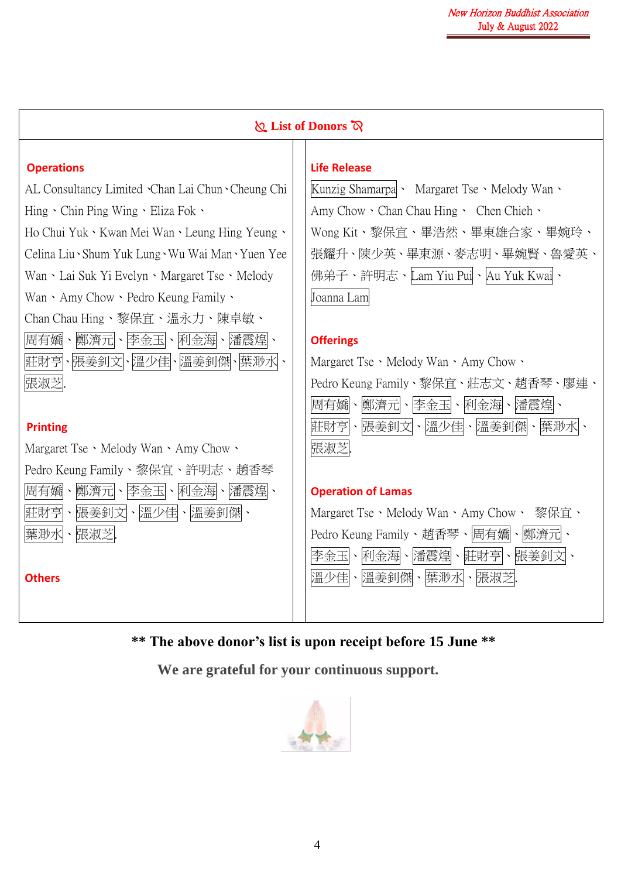|                                                                                                                                                                                       | List of Donors $\infty$                                                                                                                                |  |  |  |  |  |
|---------------------------------------------------------------------------------------------------------------------------------------------------------------------------------------|--------------------------------------------------------------------------------------------------------------------------------------------------------|--|--|--|--|--|
| <b>Operations</b><br>AL Consultancy Limited Chan Lai Chun Cheung Chi                                                                                                                  | <b>Life Release</b><br>Kunzig Shamarpa · Margaret Tse · Melody Wan ·                                                                                   |  |  |  |  |  |
| Hing Chin Ping Wing Eliza Fok .<br>Ho Chui Yuk · Kwan Mei Wan · Leung Hing Yeung ·<br>Celina Liu Shum Yuk Lung Wu Wai Man Yuen Yee<br>Wan · Lai Suk Yi Evelyn · Margaret Tse · Melody | Amy Chow · Chan Chau Hing · Chen Chieh ·<br>Wong Kit、黎保宜、畢浩然、畢東雄合家、畢婉玲、<br>張耀升、陳少英、畢東源、麥志明、畢婉賢、魯愛英、<br>佛弟子、許明志、Lam Yiu Puil、Au Yuk Kwail、              |  |  |  |  |  |
| Wan · Amy Chow · Pedro Keung Family ·<br>Chan Chau Hing、黎保宜、溫永力、陳卓敏、<br>周有嬌、鄭濟元、李金玉、利金海、潘震煌、<br>莊財亨、張姜釗文、溫少佳、溫姜釗傑、葉渺水、<br>張淑芝                                                         | Joanna Lam<br><b>Offerings</b><br>Margaret Tse · Melody Wan · Amy Chow ·<br>Pedro Keung Family、黎保宜、莊志文、趙香琴、廖連、                                         |  |  |  |  |  |
| <b>Printing</b><br>Margaret Tse · Melody Wan · Amy Chow ·                                                                                                                             | 鄭濟元、 李金玉、 利金海、 潘震煌、<br>周有嬌<br>$\boldsymbol{\checkmark}$<br>、張姜釗文、溫少佳、溫姜釗傑<br>莊財亨<br>張淑芝                                                                |  |  |  |  |  |
| Pedro Keung Family、黎保宜、許明志、趙香琴<br>周有嬌<br>鄭濟元<br>、利金海、潘震煌、<br>李金玉<br>莊財亨、張姜釗文、溫少佳、溫姜釗傑<br>張淑芝<br>葉渺水                                                                                   | <b>Operation of Lamas</b><br>Margaret Tse · Melody Wan · Amy Chow ·<br>黎保宜、<br>Pedro Keung Family、趙香琴、周有嬌<br>鄭濟元ト<br>李金玉ト<br>利金海、潘震煌<br>、莊財亨<br>、張姜釗文ト |  |  |  |  |  |
| <b>Others</b>                                                                                                                                                                         | 溫少佳ト溫姜釗傑<br>、葉渺水、張淑芝                                                                                                                                   |  |  |  |  |  |

**\*\* The above donor's list is upon receipt before 15 June \*\***

**We are grateful for your continuous support.**

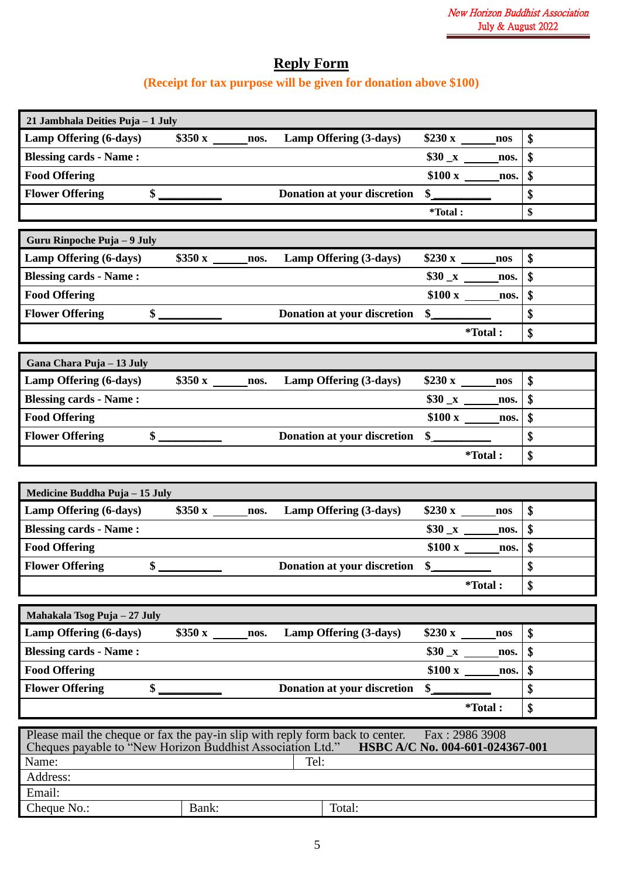## **Reply Form**

## **(Receipt for tax purpose will be given for donation above \$100)**

| 21 Jambhala Deities Puja - 1 July                                                    |                                 |                           |
|--------------------------------------------------------------------------------------|---------------------------------|---------------------------|
| Lamp Offering (6-days) \$350 x _______ nos.<br>Lamp Offering (3-days)                | nos                             | \$                        |
| <b>Blessing cards - Name:</b>                                                        | \$30 x<br>nos.                  | \$                        |
| <b>Food Offering</b>                                                                 | nos.                            | \$                        |
| <b>Flower Offering</b><br>$\frac{\text{S}}{\text{S}}$<br>Donation at your discretion | $\frac{1}{2}$                   | \$                        |
|                                                                                      | *Total:                         | \$                        |
| Guru Rinpoche Puja - 9 July                                                          |                                 |                           |
| \$350 x ________ nos. Lamp Offering (3-days)<br>Lamp Offering (6-days)               | $$230 x$ nos                    | \$                        |
| <b>Blessing cards - Name:</b>                                                        | $$30_x$ nos.                    | $\boldsymbol{\mathsf{S}}$ |
| <b>Food Offering</b>                                                                 | $$100 x$ nos.                   | $\mathbf{\hat{S}}$        |
| $\frac{\sqrt{2}}{2}$<br><b>Flower Offering</b><br>Donation at your discretion        |                                 | \$                        |
|                                                                                      | <i>*Total</i> :                 | \$                        |
|                                                                                      |                                 |                           |
| Gana Chara Puja - 13 July                                                            |                                 |                           |
| $$350 x$ nos.<br>Lamp Offering (3-days)<br>Lamp Offering (6-days)                    | $$230 x$ nos                    | \$                        |
| <b>Blessing cards - Name:</b>                                                        | $$30 x$ nos.                    | $\boldsymbol{\mathsf{S}}$ |
| <b>Food Offering</b>                                                                 | $$100 x$ nos.                   | \$                        |
| $\sim$<br>Donation at your discretion<br><b>Flower Offering</b>                      | $\frac{1}{2}$                   | \$                        |
|                                                                                      | <i>*</i> Total:                 | \$                        |
|                                                                                      |                                 |                           |
|                                                                                      |                                 |                           |
| Medicine Buddha Puja - 15 July                                                       |                                 |                           |
| Lamp Offering (3-days)                                                               | $$230 x$ nos                    | \$                        |
| <b>Blessing cards - Name:</b>                                                        | $$30 \_\text{x} \_\text{nos.}$  | $\boldsymbol{\mathsf{s}}$ |
| <b>Food Offering</b>                                                                 | $$100 x$ nos.                   | \$                        |
| \$<br><b>Flower Offering</b><br>Donation at your discretion                          | $\sim$                          | \$                        |
|                                                                                      | <i>*</i> Total:                 | \$                        |
|                                                                                      |                                 |                           |
| Mahakala Tsog Puja - 27 July                                                         |                                 |                           |
| Lamp Offering (6-days)<br>Lamp Offering (3-days)<br>nos.                             | nos                             | \$                        |
| <b>Blessing cards - Name:</b>                                                        | $$30_x$<br>nos.                 | \$                        |
| <b>Food Offering</b>                                                                 | nos.                            | \$                        |
| <b>Flower Offering</b><br>\$<br>Donation at your discretion                          | \$                              | \$                        |
|                                                                                      | <i>*Total</i> :                 | \$                        |
| Please mail the cheque or fax the pay-in slip with reply form back to center.        | Fax: 2986 3908                  |                           |
| Cheques payable to "New Horizon Buddhist Association Ltd."                           | HSBC A/C No. 004-601-024367-001 |                           |
| Name:<br>Tel:                                                                        |                                 |                           |
| Address:<br>Email:                                                                   |                                 |                           |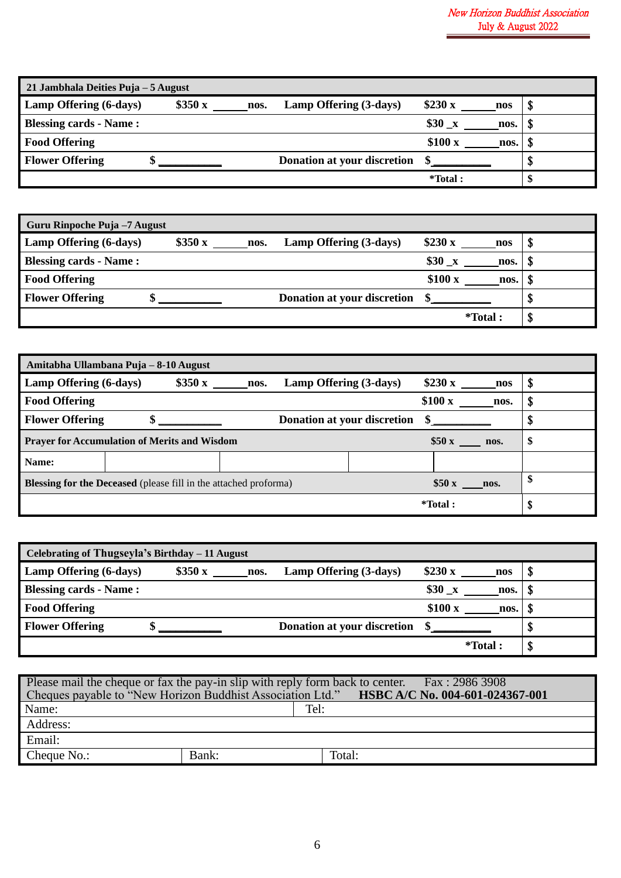| 21 Jambhala Deities Puja – 5 August |        |      |                             |                      |   |
|-------------------------------------|--------|------|-----------------------------|----------------------|---|
| Lamp Offering (6-days)              | \$350x | nos. | Lamp Offering (3-days)      | \$230 x<br>nos       | Φ |
| <b>Blessing cards - Name:</b>       |        |      |                             | $$30 \times$<br>nos. | Φ |
| <b>Food Offering</b>                |        |      |                             | \$100x<br>nos.       | ъ |
| <b>Flower Offering</b>              |        |      | Donation at your discretion |                      | Φ |
|                                     |        |      |                             | *Total:              | Œ |

| Guru Rinpoche Puja -7 August  |        |      |                                   |                  |   |
|-------------------------------|--------|------|-----------------------------------|------------------|---|
| Lamp Offering (6-days)        | \$350x | nos. | \$230 x<br>Lamp Offering (3-days) | nos              | Φ |
| <b>Blessing cards - Name:</b> |        |      | $$30 \times$                      | nos.             |   |
| <b>Food Offering</b>          |        |      | \$100x                            | nos.             |   |
| <b>Flower Offering</b>        |        |      | Donation at your discretion       |                  |   |
|                               |        |      |                                   | <i>*</i> Total : | Φ |

| Amitabha Ullambana Puja - 8-10 August                            |        |      |                                    |         |      |    |
|------------------------------------------------------------------|--------|------|------------------------------------|---------|------|----|
| Lamp Offering (6-days)                                           | \$350x | nos. | Lamp Offering (3-days)             | \$230 x | nos  | \$ |
| <b>Food Offering</b>                                             |        |      |                                    | \$100x  | nos. | \$ |
| <b>Flower Offering</b>                                           |        |      | <b>Donation at your discretion</b> |         |      | Φ  |
| <b>Prayer for Accumulation of Merits and Wisdom</b>              |        |      |                                    | \$50x   | nos. | \$ |
| Name:                                                            |        |      |                                    |         |      |    |
| Blessing for the Deceased (please fill in the attached proforma) |        |      |                                    | \$50x   | nos. | \$ |
|                                                                  |        |      |                                    | *Total: |      | \$ |

| Celebrating of Thugseyla's Birthday - 11 August |                             |                      |   |
|-------------------------------------------------|-----------------------------|----------------------|---|
| \$350x<br>Lamp Offering (6-days)<br>nos.        | Lamp Offering (3-days)      | \$230 x<br>nos       | Φ |
| <b>Blessing cards - Name:</b>                   |                             | $$30 \times$<br>nos. |   |
| <b>Food Offering</b>                            |                             | \$100x<br>nos.       |   |
| <b>Flower Offering</b>                          | Donation at your discretion |                      |   |
|                                                 |                             | *Total:              | Φ |

| Please mail the cheque or fax the pay-in slip with reply form back to center. Fax: 2986 3908      |       |        |  |  |  |  |  |
|---------------------------------------------------------------------------------------------------|-------|--------|--|--|--|--|--|
| Cheques payable to "New Horizon Buddhist Association Ltd." <b>HSBC A/C No. 004-601-024367-001</b> |       |        |  |  |  |  |  |
| Name:                                                                                             |       | Tel:   |  |  |  |  |  |
| Address:                                                                                          |       |        |  |  |  |  |  |
| Email:                                                                                            |       |        |  |  |  |  |  |
| Cheque No.:                                                                                       | Bank: | Total: |  |  |  |  |  |